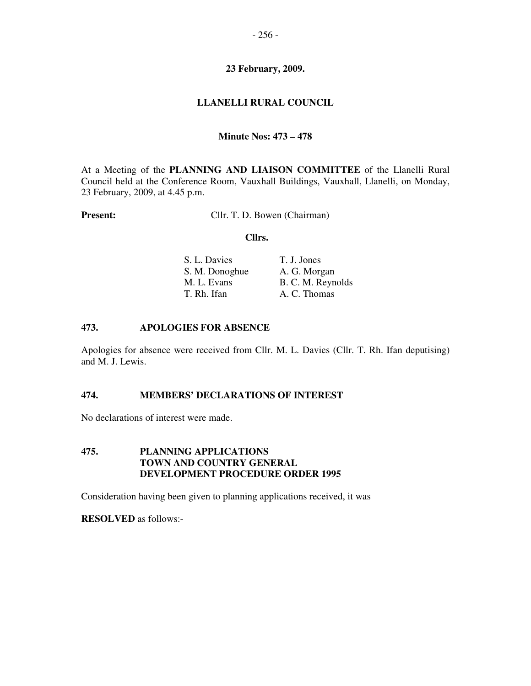## **23 February, 2009.**

# **LLANELLI RURAL COUNCIL**

### **Minute Nos: 473 – 478**

At a Meeting of the **PLANNING AND LIAISON COMMITTEE** of the Llanelli Rural Council held at the Conference Room, Vauxhall Buildings, Vauxhall, Llanelli, on Monday, 23 February, 2009, at 4.45 p.m.

**Present:** Cllr. T. D. Bowen (Chairman)

### **Cllrs.**

| S. L. Davies   | T. J. Jones       |
|----------------|-------------------|
| S. M. Donoghue | A. G. Morgan      |
| M. L. Evans    | B. C. M. Reynolds |
| T. Rh. Ifan    | A. C. Thomas      |

### **473. APOLOGIES FOR ABSENCE**

Apologies for absence were received from Cllr. M. L. Davies (Cllr. T. Rh. Ifan deputising) and M. J. Lewis.

### **474. MEMBERS' DECLARATIONS OF INTEREST**

No declarations of interest were made.

# **475. PLANNING APPLICATIONS TOWN AND COUNTRY GENERAL DEVELOPMENT PROCEDURE ORDER 1995**

Consideration having been given to planning applications received, it was

**RESOLVED** as follows:-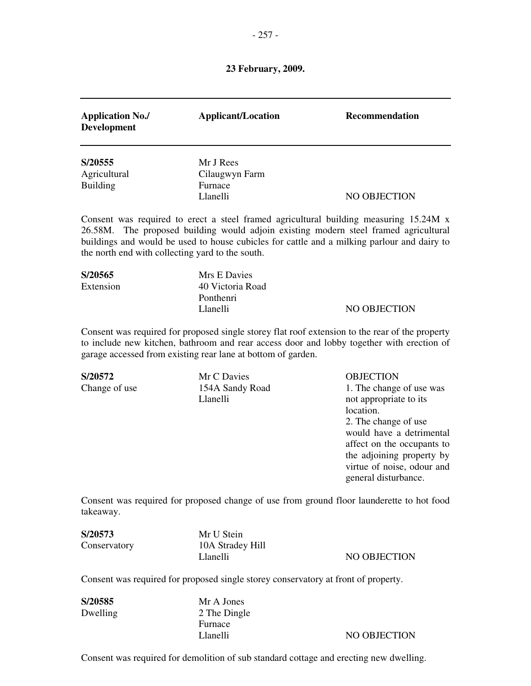# **23 February, 2009.**

| <b>Application No./</b><br><b>Development</b>               | <b>Applicant/Location</b>                                                                                                                                                                                                                                            | Recommendation                                                                                                                                                                                                                                           |
|-------------------------------------------------------------|----------------------------------------------------------------------------------------------------------------------------------------------------------------------------------------------------------------------------------------------------------------------|----------------------------------------------------------------------------------------------------------------------------------------------------------------------------------------------------------------------------------------------------------|
| S/20555<br>Agricultural<br><b>Building</b>                  | Mr J Rees<br>Cilaugwyn Farm<br>Furnace<br>Llanelli                                                                                                                                                                                                                   | NO OBJECTION                                                                                                                                                                                                                                             |
| 26.58M.<br>the north end with collecting yard to the south. | Consent was required to erect a steel framed agricultural building measuring 15.24M x<br>The proposed building would adjoin existing modern steel framed agricultural<br>buildings and would be used to house cubicles for cattle and a milking parlour and dairy to |                                                                                                                                                                                                                                                          |
| S/20565<br>Extension                                        | Mrs E Davies<br>40 Victoria Road<br>Ponthenri<br>Llanelli                                                                                                                                                                                                            | <b>NO OBJECTION</b>                                                                                                                                                                                                                                      |
|                                                             | Consent was required for proposed single storey flat roof extension to the rear of the property<br>to include new kitchen, bathroom and rear access door and lobby together with erection of<br>garage accessed from existing rear lane at bottom of garden.         |                                                                                                                                                                                                                                                          |
| S/20572<br>Change of use                                    | Mr C Davies<br>154A Sandy Road<br>Llanelli                                                                                                                                                                                                                           | <b>OBJECTION</b><br>1. The change of use was<br>not appropriate to its<br>location.<br>2. The change of use<br>would have a detrimental<br>affect on the occupants to<br>the adjoining property by<br>virtue of noise, odour and<br>general disturbance. |
| takeaway.                                                   | Consent was required for proposed change of use from ground floor launderette to hot food                                                                                                                                                                            |                                                                                                                                                                                                                                                          |
| S/20573<br>Conservatory                                     | Mr U Stein<br>10A Stradey Hill<br>Llanelli                                                                                                                                                                                                                           | NO OBJECTION                                                                                                                                                                                                                                             |
|                                                             | Consent was required for proposed single storey conservatory at front of property.                                                                                                                                                                                   |                                                                                                                                                                                                                                                          |

| S/20585  | Mr A Jones   |              |
|----------|--------------|--------------|
| Dwelling | 2 The Dingle |              |
|          | Furnace      |              |
|          | Llanelli     | NO OBJECTION |

Consent was required for demolition of sub standard cottage and erecting new dwelling.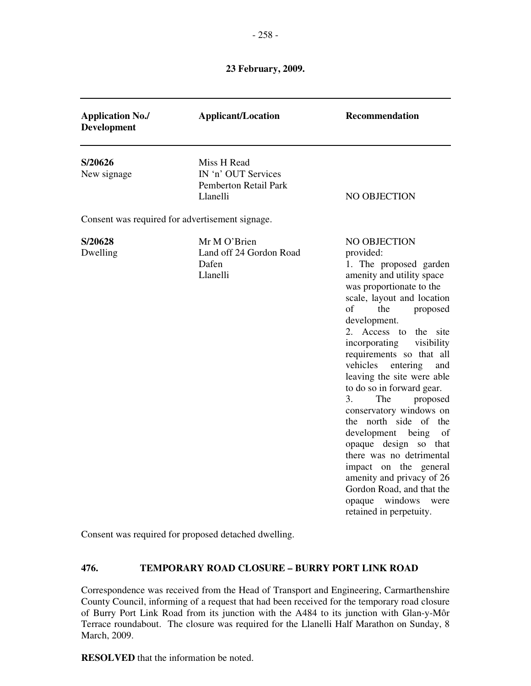### - 258 -

### **23 February, 2009.**

| <b>Application No./</b><br><b>Development</b>                             | <b>Applicant/Location</b>                                                      | Recommendation                                                                                                                                                                                                                                                                                                                                                                                                                                                                                                                                                                                                                                                   |
|---------------------------------------------------------------------------|--------------------------------------------------------------------------------|------------------------------------------------------------------------------------------------------------------------------------------------------------------------------------------------------------------------------------------------------------------------------------------------------------------------------------------------------------------------------------------------------------------------------------------------------------------------------------------------------------------------------------------------------------------------------------------------------------------------------------------------------------------|
| S/20626<br>New signage<br>Consent was required for advertisement signage. | Miss H Read<br>IN 'n' OUT Services<br><b>Pemberton Retail Park</b><br>Llanelli | NO OBJECTION                                                                                                                                                                                                                                                                                                                                                                                                                                                                                                                                                                                                                                                     |
| S/20628<br>Dwelling                                                       | Mr M O'Brien<br>Land off 24 Gordon Road<br>Dafen<br>Llanelli                   | NO OBJECTION<br>provided:<br>1. The proposed garden<br>amenity and utility space<br>was proportionate to the<br>scale, layout and location<br>of<br>the<br>proposed<br>development.<br>2. Access to the site<br>visibility<br>incorporating<br>requirements so that all<br>vehicles entering<br>and<br>leaving the site were able<br>to do so in forward gear.<br>3.<br>proposed<br>The<br>conservatory windows on<br>the north side of the<br>development being<br>of<br>opaque design so that<br>there was no detrimental<br>impact on the general<br>amenity and privacy of 26<br>Gordon Road, and that the<br>opaque windows were<br>retained in perpetuity. |

Consent was required for proposed detached dwelling.

# **476. TEMPORARY ROAD CLOSURE – BURRY PORT LINK ROAD**

Correspondence was received from the Head of Transport and Engineering, Carmarthenshire County Council, informing of a request that had been received for the temporary road closure of Burry Port Link Road from its junction with the A484 to its junction with Glan-y-Môr Terrace roundabout. The closure was required for the Llanelli Half Marathon on Sunday, 8 March, 2009.

**RESOLVED** that the information be noted.